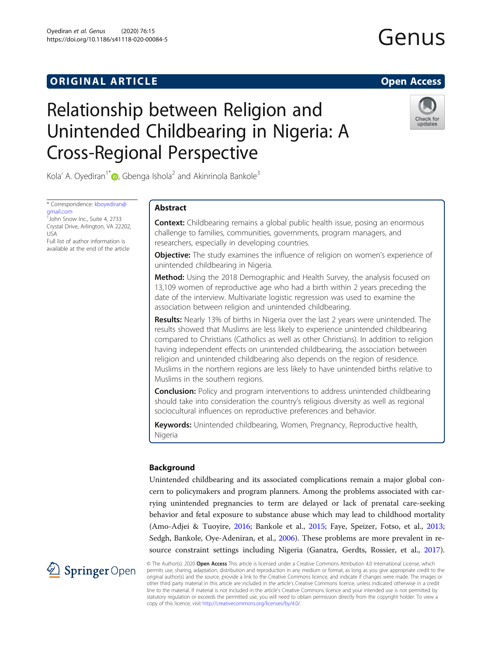# Relationship between Religion and Unintended Childbearing in Nigeria: A Cross-Regional Perspective



Kola' A. Oyediran<sup>1\*</sup>  $\bullet$ , Gbenga Ishola<sup>2</sup> and Akinrinola Bankole<sup>3</sup>

\* Correspondence: [kboyediran@](mailto:kboyediran@gmail.com) [gmail.com](mailto:kboyediran@gmail.com)

<sup>1</sup>John Snow Inc., Suite 4, 2733 Crystal Drive, Arlington, VA 22202, USA Full list of author information is available at the end of the article

# Abstract

**Context:** Childbearing remains a global public health issue, posing an enormous challenge to families, communities, governments, program managers, and researchers, especially in developing countries.

**Objective:** The study examines the influence of religion on women's experience of unintended childbearing in Nigeria.

Method: Using the 2018 Demographic and Health Survey, the analysis focused on 13,109 women of reproductive age who had a birth within 2 years preceding the date of the interview. Multivariate logistic regression was used to examine the association between religion and unintended childbearing.

Results: Nearly 13% of births in Nigeria over the last 2 years were unintended. The results showed that Muslims are less likely to experience unintended childbearing compared to Christians (Catholics as well as other Christians). In addition to religion having independent effects on unintended childbearing, the association between religion and unintended childbearing also depends on the region of residence. Muslims in the northern regions are less likely to have unintended births relative to Muslims in the southern regions.

**Conclusion:** Policy and program interventions to address unintended childbearing should take into consideration the country's religious diversity as well as regional sociocultural influences on reproductive preferences and behavior.

**Keywords:** Unintended childbearing, Women, Pregnancy, Reproductive health, Nigeria

# Background

Unintended childbearing and its associated complications remain a major global concern to policymakers and program planners. Among the problems associated with carrying unintended pregnancies to term are delayed or lack of prenatal care-seeking behavior and fetal exposure to substance abuse which may lead to childhood mortality (Amo-Adjei & Tuoyire, [2016](#page-18-0); Bankole et al., [2015;](#page-18-0) Faye, Speizer, Fotso, et al., [2013](#page-18-0); Sedgh, Bankole, Oye-Adeniran, et al., [2006](#page-19-0)). These problems are more prevalent in resource constraint settings including Nigeria (Ganatra, Gerdts, Rossier, et al., [2017](#page-18-0)).



© The Author(s). 2020 Open Access This article is licensed under a Creative Commons Attribution 4.0 International License, which permits use, sharing, adaptation, distribution and reproduction in any medium or format, as long as you give appropriate credit to the original author(s) and the source, provide a link to the Creative Commons licence, and indicate if changes were made. The images or other third party material in this article are included in the article's Creative Commons licence, unless indicated otherwise in a credit line to the material. If material is not included in the article's Creative Commons licence and your intended use is not permitted by statutory regulation or exceeds the permitted use, you will need to obtain permission directly from the copyright holder. To view a copy of this licence, visit <http://creativecommons.org/licenses/by/4.0/>.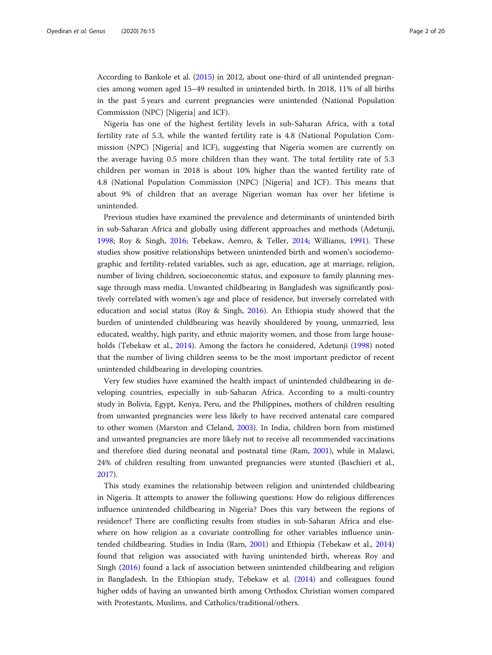According to Bankole et al. ([2015\)](#page-18-0) in 2012, about one-third of all unintended pregnancies among women aged 15–49 resulted in unintended birth. In 2018, 11% of all births in the past 5 years and current pregnancies were unintended (National Population Commission (NPC) [Nigeria] and ICF).

Nigeria has one of the highest fertility levels in sub-Saharan Africa, with a total fertility rate of 5.3, while the wanted fertility rate is 4.8 (National Population Commission (NPC) [Nigeria] and ICF), suggesting that Nigeria women are currently on the average having 0.5 more children than they want. The total fertility rate of 5.3 children per woman in 2018 is about 10% higher than the wanted fertility rate of 4.8 (National Population Commission (NPC) [Nigeria] and ICF). This means that about 9% of children that an average Nigerian woman has over her lifetime is unintended.

Previous studies have examined the prevalence and determinants of unintended birth in sub-Saharan Africa and globally using different approaches and methods (Adetunji, [1998](#page-18-0); Roy & Singh, [2016;](#page-19-0) Tebekaw, Aemro, & Teller, [2014](#page-19-0); Williams, [1991](#page-19-0)). These studies show positive relationships between unintended birth and women's sociodemographic and fertility-related variables, such as age, education, age at marriage, religion, number of living children, socioeconomic status, and exposure to family planning message through mass media. Unwanted childbearing in Bangladesh was significantly positively correlated with women's age and place of residence, but inversely correlated with education and social status (Roy & Singh, [2016](#page-19-0)). An Ethiopia study showed that the burden of unintended childbearing was heavily shouldered by young, unmarried, less educated, wealthy, high parity, and ethnic majority women, and those from large households (Tebekaw et al., [2014](#page-19-0)). Among the factors he considered, Adetunji ([1998\)](#page-18-0) noted that the number of living children seems to be the most important predictor of recent unintended childbearing in developing countries.

Very few studies have examined the health impact of unintended childbearing in developing countries, especially in sub-Saharan Africa. According to a multi-country study in Bolivia, Egypt, Kenya, Peru, and the Philippines, mothers of children resulting from unwanted pregnancies were less likely to have received antenatal care compared to other women (Marston and Cleland, [2003\)](#page-18-0). In India, children born from mistimed and unwanted pregnancies are more likely not to receive all recommended vaccinations and therefore died during neonatal and postnatal time (Ram, [2001\)](#page-19-0), while in Malawi, 24% of children resulting from unwanted pregnancies were stunted (Baschieri et al., [2017](#page-18-0)).

This study examines the relationship between religion and unintended childbearing in Nigeria. It attempts to answer the following questions: How do religious differences influence unintended childbearing in Nigeria? Does this vary between the regions of residence? There are conflicting results from studies in sub-Saharan Africa and elsewhere on how religion as a covariate controlling for other variables influence unintended childbearing. Studies in India (Ram, [2001\)](#page-19-0) and Ethiopia (Tebekaw et al., [2014](#page-19-0)) found that religion was associated with having unintended birth, whereas Roy and Singh [\(2016\)](#page-19-0) found a lack of association between unintended childbearing and religion in Bangladesh. In the Ethiopian study, Tebekaw et al. [\(2014](#page-19-0)) and colleagues found higher odds of having an unwanted birth among Orthodox Christian women compared with Protestants, Muslims, and Catholics/traditional/others.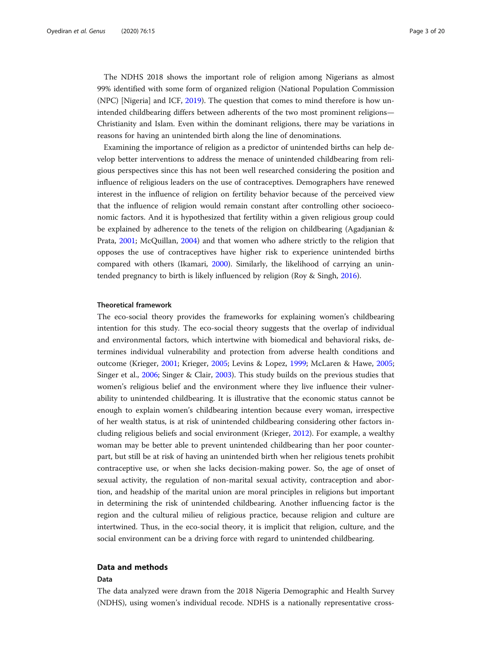The NDHS 2018 shows the important role of religion among Nigerians as almost 99% identified with some form of organized religion (National Population Commission (NPC) [Nigeria] and ICF, [2019\)](#page-18-0). The question that comes to mind therefore is how unintended childbearing differs between adherents of the two most prominent religions— Christianity and Islam. Even within the dominant religions, there may be variations in reasons for having an unintended birth along the line of denominations.

Examining the importance of religion as a predictor of unintended births can help develop better interventions to address the menace of unintended childbearing from religious perspectives since this has not been well researched considering the position and influence of religious leaders on the use of contraceptives. Demographers have renewed interest in the influence of religion on fertility behavior because of the perceived view that the influence of religion would remain constant after controlling other socioeconomic factors. And it is hypothesized that fertility within a given religious group could be explained by adherence to the tenets of the religion on childbearing (Agadjanian & Prata, [2001](#page-18-0); McQuillan, [2004\)](#page-18-0) and that women who adhere strictly to the religion that opposes the use of contraceptives have higher risk to experience unintended births compared with others (Ikamari, [2000](#page-18-0)). Similarly, the likelihood of carrying an unintended pregnancy to birth is likely influenced by religion (Roy & Singh, [2016](#page-19-0)).

# Theoretical framework

The eco-social theory provides the frameworks for explaining women's childbearing intention for this study. The eco-social theory suggests that the overlap of individual and environmental factors, which intertwine with biomedical and behavioral risks, determines individual vulnerability and protection from adverse health conditions and outcome (Krieger, [2001;](#page-18-0) Krieger, [2005;](#page-18-0) Levins & Lopez, [1999;](#page-18-0) McLaren & Hawe, [2005](#page-18-0); Singer et al., [2006](#page-19-0); Singer & Clair, [2003](#page-19-0)). This study builds on the previous studies that women's religious belief and the environment where they live influence their vulnerability to unintended childbearing. It is illustrative that the economic status cannot be enough to explain women's childbearing intention because every woman, irrespective of her wealth status, is at risk of unintended childbearing considering other factors including religious beliefs and social environment (Krieger, [2012\)](#page-18-0). For example, a wealthy woman may be better able to prevent unintended childbearing than her poor counterpart, but still be at risk of having an unintended birth when her religious tenets prohibit contraceptive use, or when she lacks decision-making power. So, the age of onset of sexual activity, the regulation of non-marital sexual activity, contraception and abortion, and headship of the marital union are moral principles in religions but important in determining the risk of unintended childbearing. Another influencing factor is the region and the cultural milieu of religious practice, because religion and culture are intertwined. Thus, in the eco-social theory, it is implicit that religion, culture, and the social environment can be a driving force with regard to unintended childbearing.

# Data and methods

# Data

The data analyzed were drawn from the 2018 Nigeria Demographic and Health Survey (NDHS), using women's individual recode. NDHS is a nationally representative cross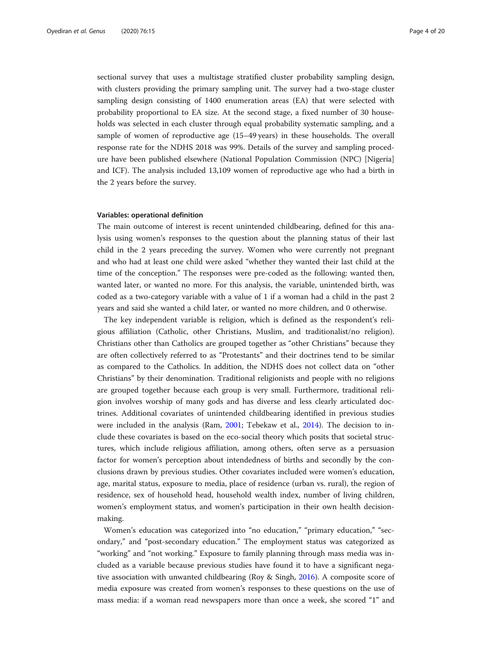sectional survey that uses a multistage stratified cluster probability sampling design, with clusters providing the primary sampling unit. The survey had a two-stage cluster sampling design consisting of 1400 enumeration areas (EA) that were selected with probability proportional to EA size. At the second stage, a fixed number of 30 households was selected in each cluster through equal probability systematic sampling, and a sample of women of reproductive age (15–49 years) in these households. The overall response rate for the NDHS 2018 was 99%. Details of the survey and sampling procedure have been published elsewhere (National Population Commission (NPC) [Nigeria] and ICF). The analysis included 13,109 women of reproductive age who had a birth in the 2 years before the survey.

## Variables: operational definition

The main outcome of interest is recent unintended childbearing, defined for this analysis using women's responses to the question about the planning status of their last child in the 2 years preceding the survey. Women who were currently not pregnant and who had at least one child were asked "whether they wanted their last child at the time of the conception." The responses were pre-coded as the following: wanted then, wanted later, or wanted no more. For this analysis, the variable, unintended birth, was coded as a two-category variable with a value of 1 if a woman had a child in the past 2 years and said she wanted a child later, or wanted no more children, and 0 otherwise.

The key independent variable is religion, which is defined as the respondent's religious affiliation (Catholic, other Christians, Muslim, and traditionalist/no religion). Christians other than Catholics are grouped together as "other Christians" because they are often collectively referred to as "Protestants" and their doctrines tend to be similar as compared to the Catholics. In addition, the NDHS does not collect data on "other Christians" by their denomination. Traditional religionists and people with no religions are grouped together because each group is very small. Furthermore, traditional religion involves worship of many gods and has diverse and less clearly articulated doctrines. Additional covariates of unintended childbearing identified in previous studies were included in the analysis (Ram, [2001;](#page-19-0) Tebekaw et al., [2014](#page-19-0)). The decision to include these covariates is based on the eco-social theory which posits that societal structures, which include religious affiliation, among others, often serve as a persuasion factor for women's perception about intendedness of births and secondly by the conclusions drawn by previous studies. Other covariates included were women's education, age, marital status, exposure to media, place of residence (urban vs. rural), the region of residence, sex of household head, household wealth index, number of living children, women's employment status, and women's participation in their own health decisionmaking.

Women's education was categorized into "no education," "primary education," "secondary," and "post-secondary education." The employment status was categorized as "working" and "not working." Exposure to family planning through mass media was included as a variable because previous studies have found it to have a significant negative association with unwanted childbearing (Roy & Singh, [2016](#page-19-0)). A composite score of media exposure was created from women's responses to these questions on the use of mass media: if a woman read newspapers more than once a week, she scored "1" and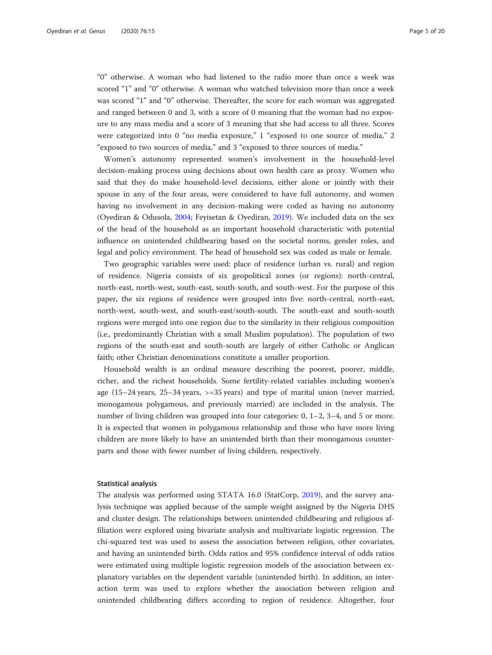"0" otherwise. A woman who had listened to the radio more than once a week was scored "1" and "0" otherwise. A woman who watched television more than once a week was scored "1" and "0" otherwise. Thereafter, the score for each woman was aggregated and ranged between 0 and 3, with a score of 0 meaning that the woman had no exposure to any mass media and a score of 3 meaning that she had access to all three. Scores were categorized into 0 "no media exposure," 1 "exposed to one source of media," 2 "exposed to two sources of media," and 3 "exposed to three sources of media."

Women's autonomy represented women's involvement in the household-level decision-making process using decisions about own health care as proxy. Women who said that they do make household-level decisions, either alone or jointly with their spouse in any of the four areas, were considered to have full autonomy, and women having no involvement in any decision-making were coded as having no autonomy (Oyediran & Odusola, [2004](#page-19-0); Feyisetan & Oyediran, [2019](#page-18-0)). We included data on the sex of the head of the household as an important household characteristic with potential influence on unintended childbearing based on the societal norms, gender roles, and legal and policy environment. The head of household sex was coded as male or female.

Two geographic variables were used: place of residence (urban vs. rural) and region of residence. Nigeria consists of six geopolitical zones (or regions): north-central, north-east, north-west, south-east, south-south, and south-west. For the purpose of this paper, the six regions of residence were grouped into five: north-central, north-east, north-west, south-west, and south-east/south-south. The south-east and south-south regions were merged into one region due to the similarity in their religious composition (i.e., predominantly Christian with a small Muslim population). The population of two regions of the south-east and south-south are largely of either Catholic or Anglican faith; other Christian denominations constitute a smaller proportion.

Household wealth is an ordinal measure describing the poorest, poorer, middle, richer, and the richest households. Some fertility-related variables including women's age (15–24 years, 25–34 years, >=35 years) and type of marital union (never married, monogamous polygamous, and previously married) are included in the analysis. The number of living children was grouped into four categories: 0, 1–2, 3–4, and 5 or more. It is expected that women in polygamous relationship and those who have more living children are more likely to have an unintended birth than their monogamous counterparts and those with fewer number of living children, respectively.

# Statistical analysis

The analysis was performed using STATA 16.0 (StatCorp, [2019](#page-19-0)), and the survey analysis technique was applied because of the sample weight assigned by the Nigeria DHS and cluster design. The relationships between unintended childbearing and religious affiliation were explored using bivariate analysis and multivariate logistic regression. The chi-squared test was used to assess the association between religion, other covariates, and having an unintended birth. Odds ratios and 95% confidence interval of odds ratios were estimated using multiple logistic regression models of the association between explanatory variables on the dependent variable (unintended birth). In addition, an interaction term was used to explore whether the association between religion and unintended childbearing differs according to region of residence. Altogether, four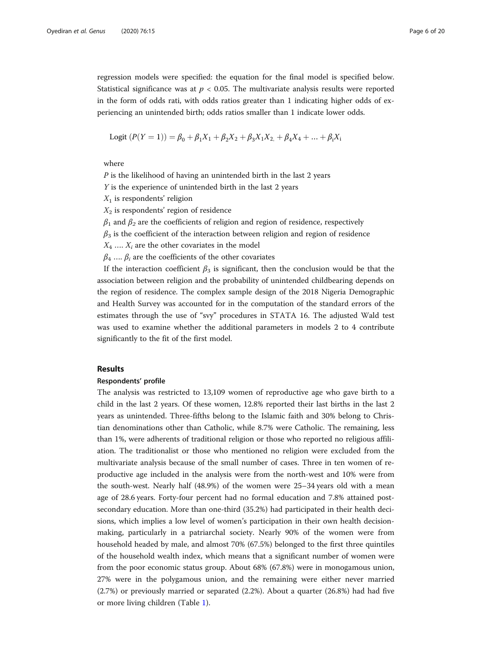regression models were specified: the equation for the final model is specified below. Statistical significance was at  $p < 0.05$ . The multivariate analysis results were reported in the form of odds rati, with odds ratios greater than 1 indicating higher odds of experiencing an unintended birth; odds ratios smaller than 1 indicate lower odds.

Logit 
$$
(P(Y = 1)) = \beta_0 + \beta_1 X_1 + \beta_2 X_2 + \beta_3 X_1 X_2 + \beta_4 X_4 + \dots + \beta_i X_i
$$

where

P is the likelihood of having an unintended birth in the last 2 years

Y is the experience of unintended birth in the last 2 years

 $X_1$  is respondents' religion

 $X_2$  is respondents' region of residence

 $\beta_1$  and  $\beta_2$  are the coefficients of religion and region of residence, respectively

 $\beta_3$  is the coefficient of the interaction between religion and region of residence

 $X_4$  ....  $X_i$  are the other covariates in the model

 $\beta_4$  ...,  $\beta_i$  are the coefficients of the other covariates

If the interaction coefficient  $\beta_3$  is significant, then the conclusion would be that the association between religion and the probability of unintended childbearing depends on the region of residence. The complex sample design of the 2018 Nigeria Demographic and Health Survey was accounted for in the computation of the standard errors of the estimates through the use of "svy" procedures in STATA 16. The adjusted Wald test was used to examine whether the additional parameters in models 2 to 4 contribute significantly to the fit of the first model.

# Results

# Respondents' profile

The analysis was restricted to 13,109 women of reproductive age who gave birth to a child in the last 2 years. Of these women, 12.8% reported their last births in the last 2 years as unintended. Three-fifths belong to the Islamic faith and 30% belong to Christian denominations other than Catholic, while 8.7% were Catholic. The remaining, less than 1%, were adherents of traditional religion or those who reported no religious affiliation. The traditionalist or those who mentioned no religion were excluded from the multivariate analysis because of the small number of cases. Three in ten women of reproductive age included in the analysis were from the north-west and 10% were from the south-west. Nearly half (48.9%) of the women were 25–34 years old with a mean age of 28.6 years. Forty-four percent had no formal education and 7.8% attained postsecondary education. More than one-third (35.2%) had participated in their health decisions, which implies a low level of women's participation in their own health decisionmaking, particularly in a patriarchal society. Nearly 90% of the women were from household headed by male, and almost 70% (67.5%) belonged to the first three quintiles of the household wealth index, which means that a significant number of women were from the poor economic status group. About 68% (67.8%) were in monogamous union, 27% were in the polygamous union, and the remaining were either never married (2.7%) or previously married or separated (2.2%). About a quarter (26.8%) had had five or more living children (Table [1](#page-7-0)).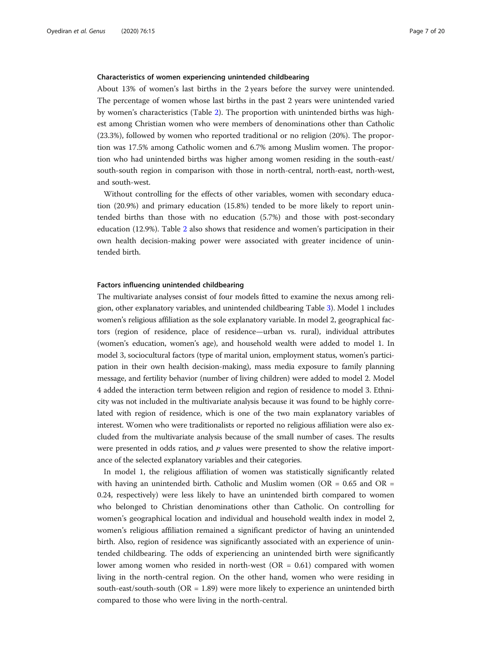# Characteristics of women experiencing unintended childbearing

About 13% of women's last births in the 2 years before the survey were unintended. The percentage of women whose last births in the past 2 years were unintended varied by women's characteristics (Table [2\)](#page-9-0). The proportion with unintended births was highest among Christian women who were members of denominations other than Catholic (23.3%), followed by women who reported traditional or no religion (20%). The proportion was 17.5% among Catholic women and 6.7% among Muslim women. The proportion who had unintended births was higher among women residing in the south-east/ south-south region in comparison with those in north-central, north-east, north-west, and south-west.

Without controlling for the effects of other variables, women with secondary education (20.9%) and primary education (15.8%) tended to be more likely to report unintended births than those with no education (5.7%) and those with post-secondary education (12.9%). Table [2](#page-9-0) also shows that residence and women's participation in their own health decision-making power were associated with greater incidence of unintended birth.

# Factors influencing unintended childbearing

The multivariate analyses consist of four models fitted to examine the nexus among religion, other explanatory variables, and unintended childbearing Table [3](#page-11-0)). Model 1 includes women's religious affiliation as the sole explanatory variable. In model 2, geographical factors (region of residence, place of residence—urban vs. rural), individual attributes (women's education, women's age), and household wealth were added to model 1. In model 3, sociocultural factors (type of marital union, employment status, women's participation in their own health decision-making), mass media exposure to family planning message, and fertility behavior (number of living children) were added to model 2. Model 4 added the interaction term between religion and region of residence to model 3. Ethnicity was not included in the multivariate analysis because it was found to be highly correlated with region of residence, which is one of the two main explanatory variables of interest. Women who were traditionalists or reported no religious affiliation were also excluded from the multivariate analysis because of the small number of cases. The results were presented in odds ratios, and  $p$  values were presented to show the relative importance of the selected explanatory variables and their categories.

In model 1, the religious affiliation of women was statistically significantly related with having an unintended birth. Catholic and Muslim women ( $OR = 0.65$  and  $OR =$ 0.24, respectively) were less likely to have an unintended birth compared to women who belonged to Christian denominations other than Catholic. On controlling for women's geographical location and individual and household wealth index in model 2, women's religious affiliation remained a significant predictor of having an unintended birth. Also, region of residence was significantly associated with an experience of unintended childbearing. The odds of experiencing an unintended birth were significantly lower among women who resided in north-west (OR = 0.61) compared with women living in the north-central region. On the other hand, women who were residing in south-east/south-south (OR = 1.89) were more likely to experience an unintended birth compared to those who were living in the north-central.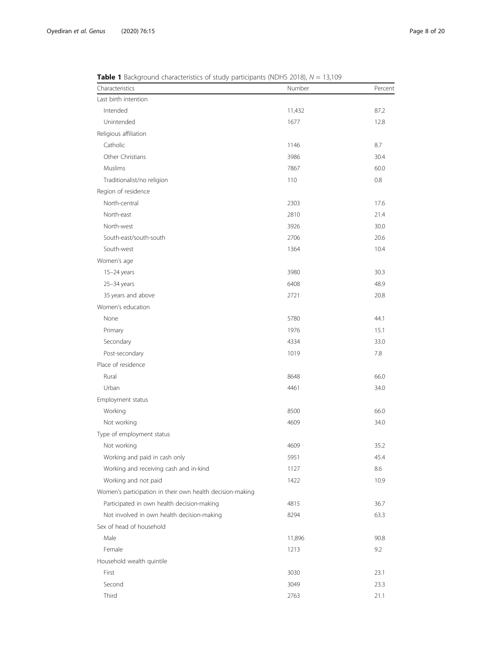| Characteristics                                           | Number | Percent |
|-----------------------------------------------------------|--------|---------|
| Last birth intention                                      |        |         |
| Intended                                                  | 11,432 | 87.2    |
| Unintended                                                | 1677   | 12.8    |
| Religious affiliation                                     |        |         |
| Catholic                                                  | 1146   | 8.7     |
| Other Christians                                          | 3986   | 30.4    |
| Muslims                                                   | 7867   | 60.0    |
| Traditionalist/no religion                                | 110    | 0.8     |
| Region of residence                                       |        |         |
| North-central                                             | 2303   | 17.6    |
| North-east                                                | 2810   | 21.4    |
| North-west                                                | 3926   | 30.0    |
| South-east/south-south                                    | 2706   | 20.6    |
| South-west                                                | 1364   | 10.4    |
| Women's age                                               |        |         |
| $15-24$ years                                             | 3980   | 30.3    |
| 25-34 years                                               | 6408   | 48.9    |
| 35 years and above                                        | 2721   | 20.8    |
| Women's education                                         |        |         |
| None                                                      | 5780   | 44.1    |
| Primary                                                   | 1976   | 15.1    |
| Secondary                                                 | 4334   | 33.0    |
| Post-secondary                                            | 1019   | 7.8     |
| Place of residence                                        |        |         |
| Rural                                                     | 8648   | 66.0    |
| Urban                                                     | 4461   | 34.0    |
| Employment status                                         |        |         |
| Working                                                   | 8500   | 66.0    |
| Not working                                               | 4609   | 34.0    |
| Type of employment status                                 |        |         |
| Not working                                               | 4609   | 35.2    |
| Working and paid in cash only                             | 5951   | 45.4    |
| Working and receiving cash and in-kind                    | 1127   | 8.6     |
| Working and not paid                                      | 1422   | 10.9    |
| Women's participation in their own health decision-making |        |         |
| Participated in own health decision-making                | 4815   | 36.7    |
| Not involved in own health decision-making                | 8294   | 63.3    |
| Sex of head of household                                  |        |         |
| Male                                                      | 11,896 | 90.8    |
| Female                                                    | 1213   | 9.2     |
| Household wealth quintile                                 |        |         |
| First                                                     | 3030   | 23.1    |
| Second                                                    | 3049   | 23.3    |
| Third                                                     | 2763   | 21.1    |

<span id="page-7-0"></span> $Table 1$  Background characteristics of study participants (NDHS 2018),  $N = 13,109$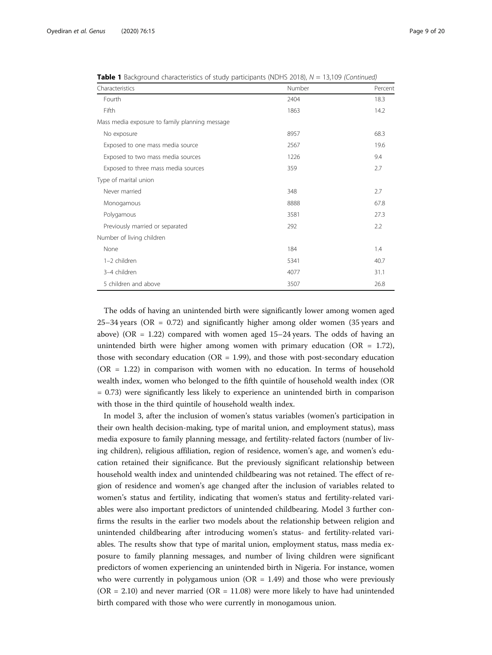| Characteristics                                | Number | Percent |
|------------------------------------------------|--------|---------|
| Fourth                                         | 2404   | 18.3    |
| Fifth                                          | 1863   | 14.2    |
| Mass media exposure to family planning message |        |         |
| No exposure                                    | 8957   | 68.3    |
| Exposed to one mass media source               | 2567   | 19.6    |
| Exposed to two mass media sources              | 1226   | 9.4     |
| Exposed to three mass media sources            | 359    | 2.7     |
| Type of marital union                          |        |         |
| Never married                                  | 348    | 2.7     |
| Monogamous                                     | 8888   | 67.8    |
| Polygamous                                     | 3581   | 27.3    |
| Previously married or separated                | 292    | 2.2     |
| Number of living children                      |        |         |
| None                                           | 184    | 1.4     |
| 1-2 children                                   | 5341   | 40.7    |
| 3-4 children                                   | 4077   | 31.1    |
| 5 children and above                           | 3507   | 26.8    |

**Table 1** Background characteristics of study participants (NDHS 2018),  $N = 13,109$  (Continued)

The odds of having an unintended birth were significantly lower among women aged 25–34 years (OR = 0.72) and significantly higher among older women (35 years and above) (OR  $= 1.22$ ) compared with women aged 15–24 years. The odds of having an unintended birth were higher among women with primary education (OR = 1.72), those with secondary education ( $OR = 1.99$ ), and those with post-secondary education (OR = 1.22) in comparison with women with no education. In terms of household wealth index, women who belonged to the fifth quintile of household wealth index (OR = 0.73) were significantly less likely to experience an unintended birth in comparison with those in the third quintile of household wealth index.

In model 3, after the inclusion of women's status variables (women's participation in their own health decision-making, type of marital union, and employment status), mass media exposure to family planning message, and fertility-related factors (number of living children), religious affiliation, region of residence, women's age, and women's education retained their significance. But the previously significant relationship between household wealth index and unintended childbearing was not retained. The effect of region of residence and women's age changed after the inclusion of variables related to women's status and fertility, indicating that women's status and fertility-related variables were also important predictors of unintended childbearing. Model 3 further confirms the results in the earlier two models about the relationship between religion and unintended childbearing after introducing women's status- and fertility-related variables. The results show that type of marital union, employment status, mass media exposure to family planning messages, and number of living children were significant predictors of women experiencing an unintended birth in Nigeria. For instance, women who were currently in polygamous union  $(OR = 1.49)$  and those who were previously  $(OR = 2.10)$  and never married  $(OR = 11.08)$  were more likely to have had unintended birth compared with those who were currently in monogamous union.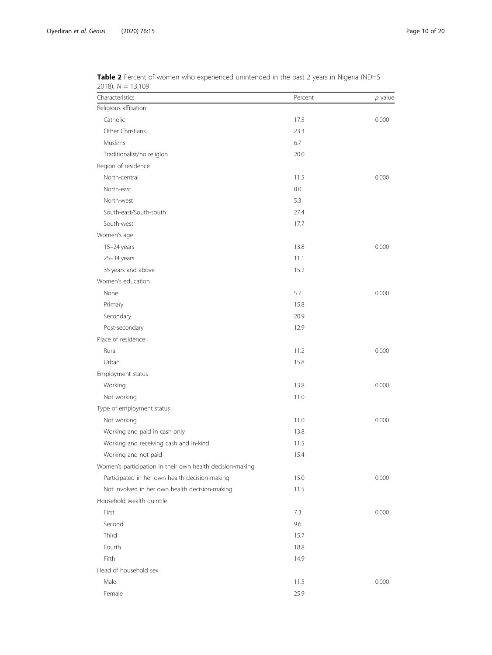| Characteristics                                           | Percent | p value |
|-----------------------------------------------------------|---------|---------|
| Religious affiliation                                     |         |         |
| Catholic                                                  | 17.5    | 0.000   |
| Other Christians                                          | 23.3    |         |
| Muslims                                                   | 6.7     |         |
| Traditionalist/no religion                                | 20.0    |         |
| Region of residence                                       |         |         |
| North-central                                             | 11.5    | 0.000   |
| North-east                                                | 8.0     |         |
| North-west                                                | 5.3     |         |
| South-east/South-south                                    | 27.4    |         |
| South-west                                                | 17.7    |         |
| Women's age                                               |         |         |
| 15-24 years                                               | 13.8    | 0.000   |
| 25-34 years                                               | 11.1    |         |
| 35 years and above                                        | 15.2    |         |
| Women's education                                         |         |         |
| None                                                      | 5.7     | 0.000   |
| Primary                                                   | 15.8    |         |
| Secondary                                                 | 20.9    |         |
| Post-secondary                                            | 12.9    |         |
| Place of residence                                        |         |         |
| Rural                                                     | 11.2    | 0.000   |
| Urban                                                     | 15.8    |         |
| Employment status                                         |         |         |
| Working                                                   | 13.8    | 0.000   |
| Not working                                               | 11.0    |         |
| Type of employment status                                 |         |         |
| Not working                                               | 11.0    | 0.000   |
| Working and paid in cash only                             | 13.8    |         |
| Working and receiving cash and in-kind                    | 11.5    |         |
| Working and not paid                                      | 15.4    |         |
| Women's participation in their own health decision-making |         |         |
| Participated in her own health decision-making            | 15.0    | 0.000   |
| Not involved in her own health decision-making            | 11.5    |         |
| Household wealth quintile                                 |         |         |
| First                                                     | 7.3     | 0.000   |
| Second                                                    | 9.6     |         |
| Third                                                     | 15.7    |         |
| Fourth                                                    | 18.8    |         |
| Fifth                                                     | 14.9    |         |
| Head of household sex                                     |         |         |
| Male                                                      | 11.5    | 0.000   |
| Female                                                    | 25.9    |         |

<span id="page-9-0"></span>**Table 2** Percent of women who experienced unintended in the past 2 years in Nigeria (NDHS 2018), N = 13,109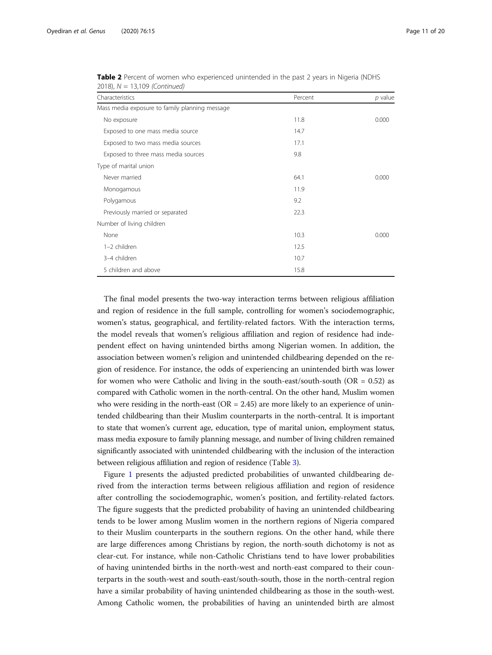| Characteristics                                | Percent | $p$ value |
|------------------------------------------------|---------|-----------|
| Mass media exposure to family planning message |         |           |
| No exposure                                    | 11.8    | 0.000     |
| Exposed to one mass media source               | 14.7    |           |
| Exposed to two mass media sources              | 17.1    |           |
| Exposed to three mass media sources            | 9.8     |           |
| Type of marital union                          |         |           |
| Never married                                  | 64.1    | 0.000     |
| Monogamous                                     | 11.9    |           |
| Polygamous                                     | 9.2     |           |
| Previously married or separated                | 22.3    |           |
| Number of living children                      |         |           |
| None                                           | 10.3    | 0.000     |
| 1-2 children                                   | 12.5    |           |
| 3-4 children                                   | 10.7    |           |
| 5 children and above                           | 15.8    |           |

Table 2 Percent of women who experienced unintended in the past 2 years in Nigeria (NDHS 2018), N = 13,109 (Continued)

The final model presents the two-way interaction terms between religious affiliation and region of residence in the full sample, controlling for women's sociodemographic, women's status, geographical, and fertility-related factors. With the interaction terms, the model reveals that women's religious affiliation and region of residence had independent effect on having unintended births among Nigerian women. In addition, the association between women's religion and unintended childbearing depended on the region of residence. For instance, the odds of experiencing an unintended birth was lower for women who were Catholic and living in the south-east/south-south ( $OR = 0.52$ ) as compared with Catholic women in the north-central. On the other hand, Muslim women who were residing in the north-east ( $OR = 2.45$ ) are more likely to an experience of unintended childbearing than their Muslim counterparts in the north-central. It is important to state that women's current age, education, type of marital union, employment status, mass media exposure to family planning message, and number of living children remained significantly associated with unintended childbearing with the inclusion of the interaction between religious affiliation and region of residence (Table [3](#page-11-0)).

Figure [1](#page-13-0) presents the adjusted predicted probabilities of unwanted childbearing derived from the interaction terms between religious affiliation and region of residence after controlling the sociodemographic, women's position, and fertility-related factors. The figure suggests that the predicted probability of having an unintended childbearing tends to be lower among Muslim women in the northern regions of Nigeria compared to their Muslim counterparts in the southern regions. On the other hand, while there are large differences among Christians by region, the north-south dichotomy is not as clear-cut. For instance, while non-Catholic Christians tend to have lower probabilities of having unintended births in the north-west and north-east compared to their counterparts in the south-west and south-east/south-south, those in the north-central region have a similar probability of having unintended childbearing as those in the south-west. Among Catholic women, the probabilities of having an unintended birth are almost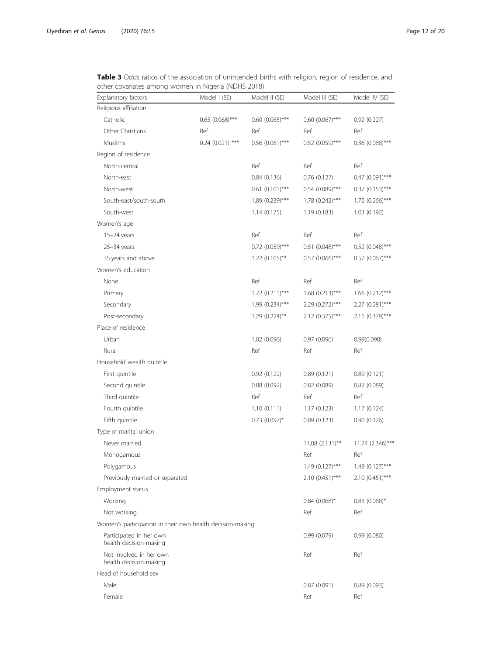<span id="page-11-0"></span>

| <b>Table 3</b> Odds ratios of the association of unintended births with religion, region of residence, and |  |
|------------------------------------------------------------------------------------------------------------|--|
| other covariates among women in Nigeria (NDHS 2018)                                                        |  |

| Explanatory factors                                       | Model I (SE)         | Model II (SE)        | Model III (SE)       | Model IV (SE)        |
|-----------------------------------------------------------|----------------------|----------------------|----------------------|----------------------|
| Religious affiliation                                     |                      |                      |                      |                      |
| Catholic                                                  | $0.65$ $(0.068)$ *** | $0.60$ (0.065)***    | $0.60$ $(0.067)$ *** | 0.92(0.227)          |
| Other Christians                                          | Ref                  | Ref                  | Ref                  | Ref                  |
| Muslims                                                   | $0.24$ (0.021) ***   | $0.56$ $(0.061)$ *** | $0.52$ (0.059)***    | $0.36$ (0.088)***    |
| Region of residence                                       |                      |                      |                      |                      |
| North-central                                             |                      | Ref                  | Ref                  | Ref                  |
| North-east                                                |                      | 0.84(0.136)          | 0.76(0.127)          | $0.47$ $(0.091)$ *** |
| North-west                                                |                      | $0.61(0.101)$ ***    | $0.54$ (0.089)***    | $0.37$ $(0.153)$ *** |
| South-east/south-south                                    |                      | 1.89 (0.239)***      | 1.78 (0.242)***      | $1.72(0.266)$ ***    |
| South-west                                                |                      | 1.14(0.175)          | 1.19(0.183)          | 1.03 (0.192)         |
| Women's age                                               |                      |                      |                      |                      |
| 15-24 years                                               |                      | Ref                  | Ref                  | Ref                  |
| $25 - 34$ years                                           |                      | $0.72$ $(0.059)$ *** | $0.51$ $(0.048)$ *** | $0.52$ (0.048)***    |
| 35 years and above                                        |                      | $1.22$ (0.105)**     | $0.57$ (0.066)***    | $0.57$ (0.067)***    |
| Women's education                                         |                      |                      |                      |                      |
| None                                                      |                      | Ref                  | Ref                  | Ref                  |
| Primary                                                   |                      | $1.72$ (0.211)***    | $1.68$ (0.213)***    | $1.66$ (0.212)***    |
| Secondary                                                 |                      | 1.99 (0.234)***      | 2.29 (0.272)***      | 2.27 (0.281)***      |
| Post-secondary                                            |                      | $1.29(0.224)$ **     | $2.12(0.375)$ ***    | 2.11 (0.379)***      |
| Place of residence                                        |                      |                      |                      |                      |
| Urban                                                     |                      | 1.02 (0.096)         | 0.97(0.096)          | 0.99(0.098)          |
| Rural                                                     |                      | Ref                  | Ref                  | Ref                  |
| Household wealth quintile                                 |                      |                      |                      |                      |
| First quintile                                            |                      | 0.92(0.122)          | 0.89(0.121)          | 0.89(0.121)          |
| Second quintile                                           |                      | 0.88(0.092)          | 0.82(0.089)          | 0.82(0.089)          |
| Third quintile                                            |                      | Ref                  | Ref                  | Ref                  |
| Fourth quintile                                           |                      | 1.10(0.111)          | 1.17(0.123)          | 1.17(0.124)          |
| Fifth quintile                                            |                      | $0.73$ (0.097)*      | 0.89(0.123)          | 0.90(0.126)          |
| Type of marital union                                     |                      |                      |                      |                      |
| Never married                                             |                      |                      | $11.08$ (2.131)**    | 11.74 (2.346)***     |
| Monogamous                                                |                      |                      | Ref                  | Ref                  |
| Polygamous                                                |                      |                      | $1.49(0.127)$ ***    | $1.49(0.127)$ ***    |
| Previously married or separated                           |                      |                      | $2.10(0.451)$ ***    | $2.10(0.451)***$     |
| Employment status                                         |                      |                      |                      |                      |
| Working                                                   |                      |                      | $0.84$ (0.068)*      | $0.83$ (0.068)*      |
| Not working                                               |                      |                      | Ref                  | Ref                  |
| Women's participation in their own health decision-making |                      |                      |                      |                      |
| Participated in her own<br>health decision-making         |                      |                      | 0.99(0.079)          | 0.99(0.080)          |
| Not involved in her own<br>health decision-making         |                      |                      | Ref                  | Ref                  |
| Head of household sex                                     |                      |                      |                      |                      |
| Male                                                      |                      |                      | 0.87(0.091)          | 0.89(0.093)          |
| Female                                                    |                      |                      | Ref                  | Ref                  |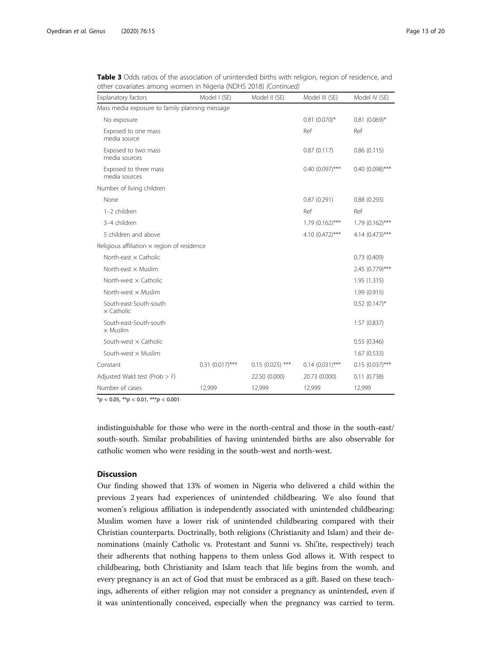| <b>Explanatory factors</b>                         | Model I (SE)       | Model II (SE)     | Model III (SE)    | Model IV (SE)     |
|----------------------------------------------------|--------------------|-------------------|-------------------|-------------------|
| Mass media exposure to family planning message     |                    |                   |                   |                   |
| No exposure                                        |                    |                   | $0.81(0.070)$ *   | $0.81$ (0.069)*   |
| Exposed to one mass<br>media source                |                    |                   | Ref               | Ref               |
| Exposed to two mass<br>media sources               |                    |                   | 0.87(0.117)       | 0.86(0.115)       |
| Exposed to three mass<br>media sources             |                    |                   | $0.40(0.097)$ *** | $0.40(0.098)$ *** |
| Number of living children                          |                    |                   |                   |                   |
| None                                               |                    |                   | 0.87(0.291)       | 0.88(0.293)       |
| 1-2 children                                       |                    |                   | Ref               | Ref               |
| 3-4 children                                       |                    |                   | $1.79(0.162)$ *** | $1.79(0.162)$ *** |
| 5 children and above                               |                    |                   | 4.10 (0.472)***   | 4.14 (0.473)***   |
| Religious affiliation $\times$ region of residence |                    |                   |                   |                   |
| North-east $\times$ Catholic                       |                    |                   |                   | 0.73(0.409)       |
| North-east $\times$ Muslim                         |                    |                   |                   | 2.45 (0.779)***   |
| North-west $\times$ Catholic                       |                    |                   |                   | 1.95(1.315)       |
| North-west $\times$ Muslim                         |                    |                   |                   | 1.99(0.915)       |
| South-east-South-south<br>$\times$ Catholic        |                    |                   |                   | $0.52$ (0.147)*   |
| South-east-South-south<br>$\times$ Muslim          |                    |                   |                   | 1.57(0.837)       |
| South-west x Catholic                              |                    |                   |                   | 0.55(0.346)       |
| South-west $\times$ Muslim                         |                    |                   |                   | 1.67(0.533)       |
| Constant                                           | $0.31 (0.017)$ *** | $0.15(0.025)$ *** | $0.14(0.031)$ *** | $0.15(0.037)$ *** |
| Adjusted Wald test (Prob $>$ F)                    |                    | 22.50 (0.000)     | 20.73 (0.000)     | 0.11(0.738)       |
| Number of cases                                    | 12,999             | 12,999            | 12,999            | 12,999            |

Table 3 Odds ratios of the association of unintended births with religion, region of residence, and other covariates among women in Nigeria (NDHS 2018) (Continued)

 $*p < 0.05$ ,  $**p < 0.01$ ,  $***p < 0.001$ 

indistinguishable for those who were in the north-central and those in the south-east/ south-south. Similar probabilities of having unintended births are also observable for catholic women who were residing in the south-west and north-west.

# **Discussion**

Our finding showed that 13% of women in Nigeria who delivered a child within the previous 2 years had experiences of unintended childbearing. We also found that women's religious affiliation is independently associated with unintended childbearing: Muslim women have a lower risk of unintended childbearing compared with their Christian counterparts. Doctrinally, both religions (Christianity and Islam) and their denominations (mainly Catholic vs. Protestant and Sunni vs. Shi'ite, respectively) teach their adherents that nothing happens to them unless God allows it. With respect to childbearing, both Christianity and Islam teach that life begins from the womb, and every pregnancy is an act of God that must be embraced as a gift. Based on these teachings, adherents of either religion may not consider a pregnancy as unintended, even if it was unintentionally conceived, especially when the pregnancy was carried to term.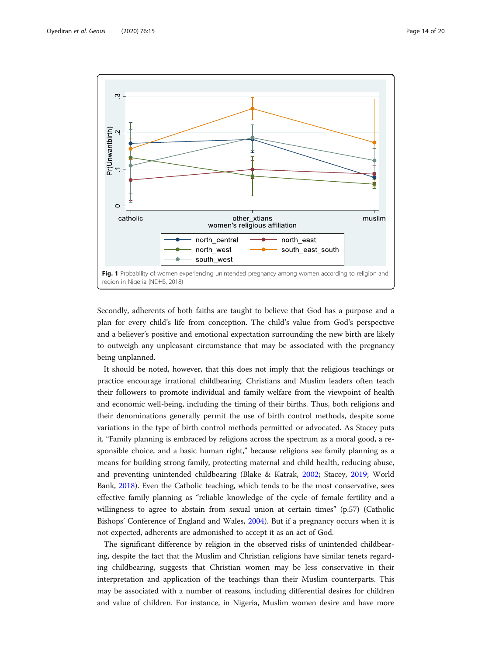<span id="page-13-0"></span>

Secondly, adherents of both faiths are taught to believe that God has a purpose and a plan for every child's life from conception. The child's value from God's perspective and a believer's positive and emotional expectation surrounding the new birth are likely to outweigh any unpleasant circumstance that may be associated with the pregnancy being unplanned.

It should be noted, however, that this does not imply that the religious teachings or practice encourage irrational childbearing. Christians and Muslim leaders often teach their followers to promote individual and family welfare from the viewpoint of health and economic well-being, including the timing of their births. Thus, both religions and their denominations generally permit the use of birth control methods, despite some variations in the type of birth control methods permitted or advocated. As Stacey puts it, "Family planning is embraced by religions across the spectrum as a moral good, a responsible choice, and a basic human right," because religions see family planning as a means for building strong family, protecting maternal and child health, reducing abuse, and preventing unintended childbearing (Blake & Katrak, [2002;](#page-18-0) Stacey, [2019](#page-19-0); World Bank, [2018](#page-19-0)). Even the Catholic teaching, which tends to be the most conservative, sees effective family planning as "reliable knowledge of the cycle of female fertility and a willingness to agree to abstain from sexual union at certain times" (p.57) (Catholic Bishops' Conference of England and Wales, [2004](#page-18-0)). But if a pregnancy occurs when it is not expected, adherents are admonished to accept it as an act of God.

The significant difference by religion in the observed risks of unintended childbearing, despite the fact that the Muslim and Christian religions have similar tenets regarding childbearing, suggests that Christian women may be less conservative in their interpretation and application of the teachings than their Muslim counterparts. This may be associated with a number of reasons, including differential desires for children and value of children. For instance, in Nigeria, Muslim women desire and have more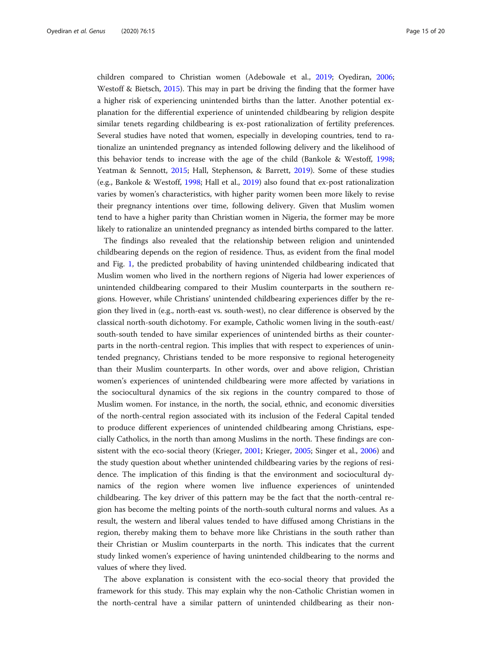children compared to Christian women (Adebowale et al., [2019;](#page-18-0) Oyediran, [2006](#page-19-0); Westoff & Bietsch, [2015\)](#page-19-0). This may in part be driving the finding that the former have a higher risk of experiencing unintended births than the latter. Another potential explanation for the differential experience of unintended childbearing by religion despite similar tenets regarding childbearing is ex-post rationalization of fertility preferences. Several studies have noted that women, especially in developing countries, tend to rationalize an unintended pregnancy as intended following delivery and the likelihood of this behavior tends to increase with the age of the child (Bankole & Westoff, [1998](#page-18-0); Yeatman & Sennott, [2015;](#page-19-0) Hall, Stephenson, & Barrett, [2019\)](#page-18-0). Some of these studies (e.g., Bankole & Westoff, [1998;](#page-18-0) Hall et al., [2019\)](#page-18-0) also found that ex-post rationalization varies by women's characteristics, with higher parity women been more likely to revise their pregnancy intentions over time, following delivery. Given that Muslim women tend to have a higher parity than Christian women in Nigeria, the former may be more likely to rationalize an unintended pregnancy as intended births compared to the latter.

The findings also revealed that the relationship between religion and unintended childbearing depends on the region of residence. Thus, as evident from the final model and Fig. [1,](#page-13-0) the predicted probability of having unintended childbearing indicated that Muslim women who lived in the northern regions of Nigeria had lower experiences of unintended childbearing compared to their Muslim counterparts in the southern regions. However, while Christians' unintended childbearing experiences differ by the region they lived in (e.g., north-east vs. south-west), no clear difference is observed by the classical north-south dichotomy. For example, Catholic women living in the south-east/ south-south tended to have similar experiences of unintended births as their counterparts in the north-central region. This implies that with respect to experiences of unintended pregnancy, Christians tended to be more responsive to regional heterogeneity than their Muslim counterparts. In other words, over and above religion, Christian women's experiences of unintended childbearing were more affected by variations in the sociocultural dynamics of the six regions in the country compared to those of Muslim women. For instance, in the north, the social, ethnic, and economic diversities of the north-central region associated with its inclusion of the Federal Capital tended to produce different experiences of unintended childbearing among Christians, especially Catholics, in the north than among Muslims in the north. These findings are consistent with the eco-social theory (Krieger, [2001;](#page-18-0) Krieger, [2005](#page-18-0); Singer et al., [2006](#page-19-0)) and the study question about whether unintended childbearing varies by the regions of residence. The implication of this finding is that the environment and sociocultural dynamics of the region where women live influence experiences of unintended childbearing. The key driver of this pattern may be the fact that the north-central region has become the melting points of the north-south cultural norms and values. As a result, the western and liberal values tended to have diffused among Christians in the region, thereby making them to behave more like Christians in the south rather than their Christian or Muslim counterparts in the north. This indicates that the current study linked women's experience of having unintended childbearing to the norms and values of where they lived.

The above explanation is consistent with the eco-social theory that provided the framework for this study. This may explain why the non-Catholic Christian women in the north-central have a similar pattern of unintended childbearing as their non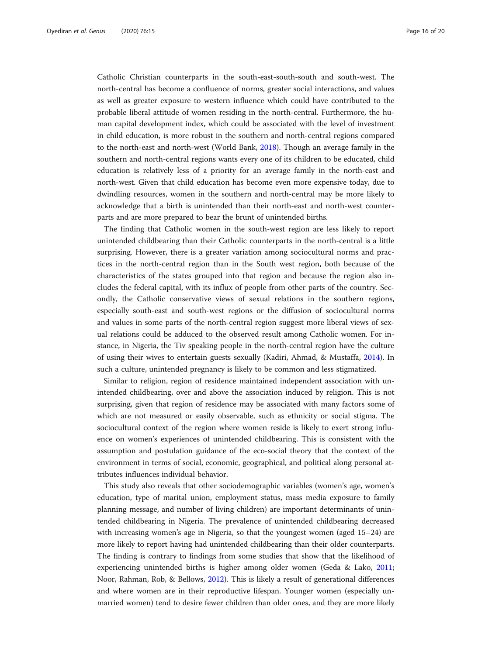Catholic Christian counterparts in the south-east-south-south and south-west. The north-central has become a confluence of norms, greater social interactions, and values as well as greater exposure to western influence which could have contributed to the probable liberal attitude of women residing in the north-central. Furthermore, the human capital development index, which could be associated with the level of investment in child education, is more robust in the southern and north-central regions compared to the north-east and north-west (World Bank, [2018\)](#page-19-0). Though an average family in the southern and north-central regions wants every one of its children to be educated, child education is relatively less of a priority for an average family in the north-east and north-west. Given that child education has become even more expensive today, due to dwindling resources, women in the southern and north-central may be more likely to acknowledge that a birth is unintended than their north-east and north-west counterparts and are more prepared to bear the brunt of unintended births.

The finding that Catholic women in the south-west region are less likely to report unintended childbearing than their Catholic counterparts in the north-central is a little surprising. However, there is a greater variation among sociocultural norms and practices in the north-central region than in the South west region, both because of the characteristics of the states grouped into that region and because the region also includes the federal capital, with its influx of people from other parts of the country. Secondly, the Catholic conservative views of sexual relations in the southern regions, especially south-east and south-west regions or the diffusion of sociocultural norms and values in some parts of the north-central region suggest more liberal views of sexual relations could be adduced to the observed result among Catholic women. For instance, in Nigeria, the Tiv speaking people in the north-central region have the culture of using their wives to entertain guests sexually (Kadiri, Ahmad, & Mustaffa, [2014](#page-18-0)). In such a culture, unintended pregnancy is likely to be common and less stigmatized.

Similar to religion, region of residence maintained independent association with unintended childbearing, over and above the association induced by religion. This is not surprising, given that region of residence may be associated with many factors some of which are not measured or easily observable, such as ethnicity or social stigma. The sociocultural context of the region where women reside is likely to exert strong influence on women's experiences of unintended childbearing. This is consistent with the assumption and postulation guidance of the eco-social theory that the context of the environment in terms of social, economic, geographical, and political along personal attributes influences individual behavior.

This study also reveals that other sociodemographic variables (women's age, women's education, type of marital union, employment status, mass media exposure to family planning message, and number of living children) are important determinants of unintended childbearing in Nigeria. The prevalence of unintended childbearing decreased with increasing women's age in Nigeria, so that the youngest women (aged 15–24) are more likely to report having had unintended childbearing than their older counterparts. The finding is contrary to findings from some studies that show that the likelihood of experiencing unintended births is higher among older women (Geda & Lako, [2011](#page-18-0); Noor, Rahman, Rob, & Bellows, [2012](#page-19-0)). This is likely a result of generational differences and where women are in their reproductive lifespan. Younger women (especially unmarried women) tend to desire fewer children than older ones, and they are more likely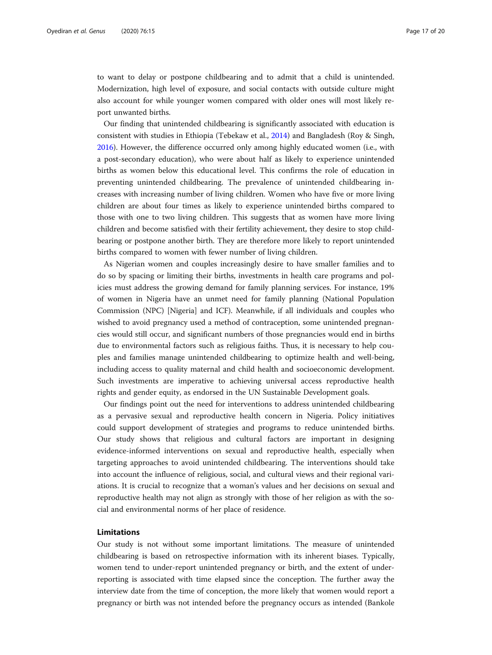to want to delay or postpone childbearing and to admit that a child is unintended. Modernization, high level of exposure, and social contacts with outside culture might also account for while younger women compared with older ones will most likely report unwanted births.

Our finding that unintended childbearing is significantly associated with education is consistent with studies in Ethiopia (Tebekaw et al., [2014](#page-19-0)) and Bangladesh (Roy & Singh, [2016](#page-19-0)). However, the difference occurred only among highly educated women (i.e., with a post-secondary education), who were about half as likely to experience unintended births as women below this educational level. This confirms the role of education in preventing unintended childbearing. The prevalence of unintended childbearing increases with increasing number of living children. Women who have five or more living children are about four times as likely to experience unintended births compared to those with one to two living children. This suggests that as women have more living children and become satisfied with their fertility achievement, they desire to stop childbearing or postpone another birth. They are therefore more likely to report unintended births compared to women with fewer number of living children.

As Nigerian women and couples increasingly desire to have smaller families and to do so by spacing or limiting their births, investments in health care programs and policies must address the growing demand for family planning services. For instance, 19% of women in Nigeria have an unmet need for family planning (National Population Commission (NPC) [Nigeria] and ICF). Meanwhile, if all individuals and couples who wished to avoid pregnancy used a method of contraception, some unintended pregnancies would still occur, and significant numbers of those pregnancies would end in births due to environmental factors such as religious faiths. Thus, it is necessary to help couples and families manage unintended childbearing to optimize health and well-being, including access to quality maternal and child health and socioeconomic development. Such investments are imperative to achieving universal access reproductive health rights and gender equity, as endorsed in the UN Sustainable Development goals.

Our findings point out the need for interventions to address unintended childbearing as a pervasive sexual and reproductive health concern in Nigeria. Policy initiatives could support development of strategies and programs to reduce unintended births. Our study shows that religious and cultural factors are important in designing evidence-informed interventions on sexual and reproductive health, especially when targeting approaches to avoid unintended childbearing. The interventions should take into account the influence of religious, social, and cultural views and their regional variations. It is crucial to recognize that a woman's values and her decisions on sexual and reproductive health may not align as strongly with those of her religion as with the social and environmental norms of her place of residence.

# Limitations

Our study is not without some important limitations. The measure of unintended childbearing is based on retrospective information with its inherent biases. Typically, women tend to under-report unintended pregnancy or birth, and the extent of underreporting is associated with time elapsed since the conception. The further away the interview date from the time of conception, the more likely that women would report a pregnancy or birth was not intended before the pregnancy occurs as intended (Bankole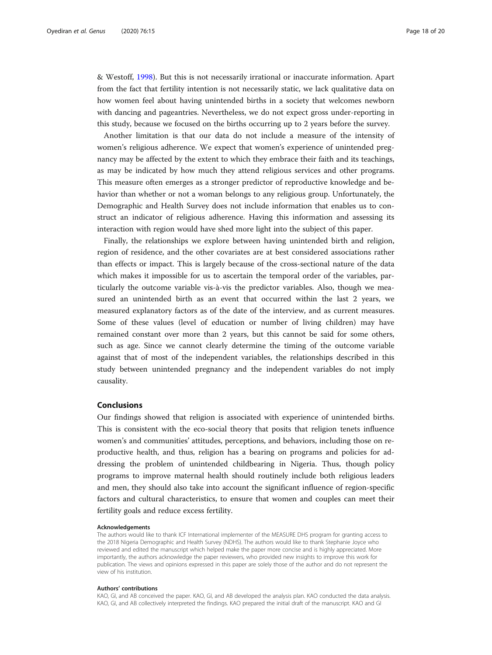& Westoff, [1998](#page-18-0)). But this is not necessarily irrational or inaccurate information. Apart from the fact that fertility intention is not necessarily static, we lack qualitative data on how women feel about having unintended births in a society that welcomes newborn with dancing and pageantries. Nevertheless, we do not expect gross under-reporting in this study, because we focused on the births occurring up to 2 years before the survey.

Another limitation is that our data do not include a measure of the intensity of women's religious adherence. We expect that women's experience of unintended pregnancy may be affected by the extent to which they embrace their faith and its teachings, as may be indicated by how much they attend religious services and other programs. This measure often emerges as a stronger predictor of reproductive knowledge and behavior than whether or not a woman belongs to any religious group. Unfortunately, the Demographic and Health Survey does not include information that enables us to construct an indicator of religious adherence. Having this information and assessing its interaction with region would have shed more light into the subject of this paper.

Finally, the relationships we explore between having unintended birth and religion, region of residence, and the other covariates are at best considered associations rather than effects or impact. This is largely because of the cross-sectional nature of the data which makes it impossible for us to ascertain the temporal order of the variables, particularly the outcome variable vis-à-vis the predictor variables. Also, though we measured an unintended birth as an event that occurred within the last 2 years, we measured explanatory factors as of the date of the interview, and as current measures. Some of these values (level of education or number of living children) may have remained constant over more than 2 years, but this cannot be said for some others, such as age. Since we cannot clearly determine the timing of the outcome variable against that of most of the independent variables, the relationships described in this study between unintended pregnancy and the independent variables do not imply causality.

# Conclusions

Our findings showed that religion is associated with experience of unintended births. This is consistent with the eco-social theory that posits that religion tenets influence women's and communities' attitudes, perceptions, and behaviors, including those on reproductive health, and thus, religion has a bearing on programs and policies for addressing the problem of unintended childbearing in Nigeria. Thus, though policy programs to improve maternal health should routinely include both religious leaders and men, they should also take into account the significant influence of region-specific factors and cultural characteristics, to ensure that women and couples can meet their fertility goals and reduce excess fertility.

#### Acknowledgements

The authors would like to thank ICF International implementer of the MEASURE DHS program for granting access to the 2018 Nigeria Demographic and Health Survey (NDHS). The authors would like to thank Stephanie Joyce who reviewed and edited the manuscript which helped make the paper more concise and is highly appreciated. More importantly, the authors acknowledge the paper reviewers, who provided new insights to improve this work for publication. The views and opinions expressed in this paper are solely those of the author and do not represent the view of his institution.

#### Authors' contributions

KAO, GI, and AB conceived the paper. KAO, GI, and AB developed the analysis plan. KAO conducted the data analysis. KAO, GI, and AB collectively interpreted the findings. KAO prepared the initial draft of the manuscript. KAO and GI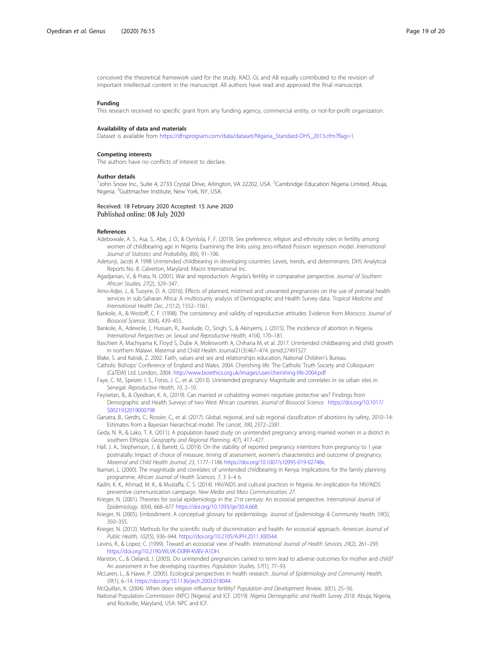<span id="page-18-0"></span>conceived the theoretical framework used for the study. KAO, GI, and AB equally contributed to the revision of important intellectual content in the manuscript. All authors have read and approved the final manuscript.

#### Funding

This research received no specific grant from any funding agency, commercial entity, or not-for-profit organization.

### Availability of data and materials

Dataset is available from [https://dhsprogram.com/data/dataset/Nigeria\\_Standard-DHS\\_2013.cfm?flag=1](https://dhsprogram.com/data/dataset/Nigeria_Standard-DHS_2013.cfm?flag=1).

#### Competing interests

The authors have no conflicts of interest to declare.

#### Author details

<sup>1</sup>John Snow Inc., Suite 4, 2733 Crystal Drive, Arlington, VA 22202, USA. <sup>2</sup>Cambridge Education Nigeria Limited, Abuja, Nigeria. <sup>3</sup>Guttmacher Institute, New York, NY, USA.

## Received: 18 February 2020 Accepted: 15 June 2020 Published online: 08 July 2020

# References

- Adebowale, A. S., Asa, S., Abe, J. O., & Oyinlola, F. F. (2019). Sex preference, religion and ethnicity roles in fertility among women of childbearing age in Nigeria: Examining the links using zero-inflated Poisson regression model. International Journal of Statistics and Probability, 8(6), 91–106.
- Adetunji, Jacob A 1998 Unintended childbearing in developing countries: Levels, trends, and determinants. DHS Analytical Reports No. 8. Calverton, Maryland: Macro International Inc.
- Agadjanian, V., & Prata, N. (2001). War and reproduction: Angola's fertility in comparative perspective. Journal of Southern African Studies, 27(2), 329–347.
- Amo-Adjei, J., & Tuoyire, D. A. (2016). Effects of planned, mistimed and unwanted pregnancies on the use of prenatal health services in sub-Saharan Africa: A multicounty analysis of Demographic and Health Survey data. Tropical Medicine and International Health Dec, 21(12), 1552–1561.
- Bankole, A., & Westoff, C. F. (1998). The consistency and validity of reproductive attitudes: Evidence from Morocco. Journal of Biosocial Science, 30(4), 439–455.
- Bankole, A., Adewole, I., Hussain, R., Awolude, O., Singh, S., & Akinyemi, J. (2015). The incidence of abortion in Nigeria. International Perspectives on Sexual and Reproductive Health, 41(4), 170–181.
- Baschieri A, Machiyama K, Floyd S, Dube A, Molesworth A, Chihana M, et al. 2017. Unintended childbearing and child growth in northern Malawi. Maternal and Child Health Journal21(3):467–474. pmid:27491527
- Blake, S. and Katrak, Z. 2002. Faith, values and sex and relationships education, National Children's Bureau.
- Catholic Bishops' Conference of England and Wales. 2004. Cherishing life. The Catholic Truth Society and Colloquium (CaTEW) Ltd. London, 2004. <http://www.bioethics.org.uk/images/user/cherishing-life-2004.pdf>
- Faye, C. M., Speizer, I. S., Fotso, J. C., et al. (2013). Unintended pregnancy: Magnitude and correlates in six urban sites in Senegal. Reproductive Health, 10, 2–10.
- Feyisetan, B., & Oyediran, K. A., (2019). Can married or cohabiting women negotiate protective sex? Findings from Demographic and Health Surveys of two West African countries. Journal of Biosocial Science. [https://doi.org/10.1017/](https://doi.org/10.1017/S0021932019000798) [S0021932019000798](https://doi.org/10.1017/S0021932019000798)
- Ganatra, B., Gerdts, C., Rossier, C., et al. (2017). Global, regional, and sub regional classification of abortions by safety, 2010–14: Estimates from a Bayesian hierarchical model. The Lancet, 390, 2372–2381.
- Geda, N. R., & Lako, T. K. (2011). A population based study on unintended pregnancy among married women in a district in southern Ethiopia. Geography and Regional Planning, 4(7), 417–427.
- Hall, J. A., Stephenson, J., & Barrett, G. (2019). On the stability of reported pregnancy intentions from pregnancy to 1 year postnatally: Impact of choice of measure, timing of assessment, women's characteristics and outcome of pregnancy. Maternal and Child Health Journal, 23, 1177–1186 [https://doi.org/10.1007/s10995-019-02748x.](https://doi.org/10.1007/s10995-019-02748x)
- Ikamari, L. (2000). The magnitude and correlates of unintended childbearing in Kenya: Implications for the family planning programme. African Journal of Health Sciences, 7, 3 3-4 6.
- Kadiri, K. K., Ahmad, M. K., & Mustaffa, C. S. (2014). HIV/AIDS and cultural practices in Nigeria: An implication for HIV/AIDS preventive communication campaign. New Media and Mass Communication, 27.
- Krieger, N. (2001). Theories for social epidemiology in the 21st century: An ecosocial perspective. International Journal of Epidemiology, 30(4), 668–677 [https://doi.org/10.1093/ije/30.4.668.](https://doi.org/10.1093/ije/30.4.668)
- Krieger, N. (2005). Embodiment: A conceptual glossary for epidemiology. Journal of Epidemiology & Community Health, 59(5), 350–355.
- Krieger, N. (2012). Methods for the scientific study of discrimination and health: An ecosocial approach. American Journal of Public Health, 102(5), 936–944. <https://doi.org/10.2105/AJPH.2011.300544>.
- Levins, R., & Lopez, C. (1999). Toward an ecosocial view of health. International Journal of Health Services, 29(2), 261–293 <https://doi.org/10.2190/WLVK-D0RR-KVBV-A1DH>.
- Marston, C., & Cleland, J. (2003). Do unintended pregnancies carried to term lead to adverse outcomes for mother and child? An assessment in five developing countries. Population Studies, 57(1), 77–93.
- McLaren, L., & Hawe, P. (2005). Ecological perspectives in health research. Journal of Epidemiology and Community Health, 59(1), 6–14. <https://doi.org/10.1136/jech.2003.018044>.
- McQuillan, K. (2004). When does religion influence fertility? Population and Development Review, 30(1), 25–56.
- National Population Commission (NPC) [Nigeria] and ICF. (2019). Nigeria Demographic and Health Survey 2018. Abuja, Nigeria, and Rockville, Maryland, USA: NPC and ICF.